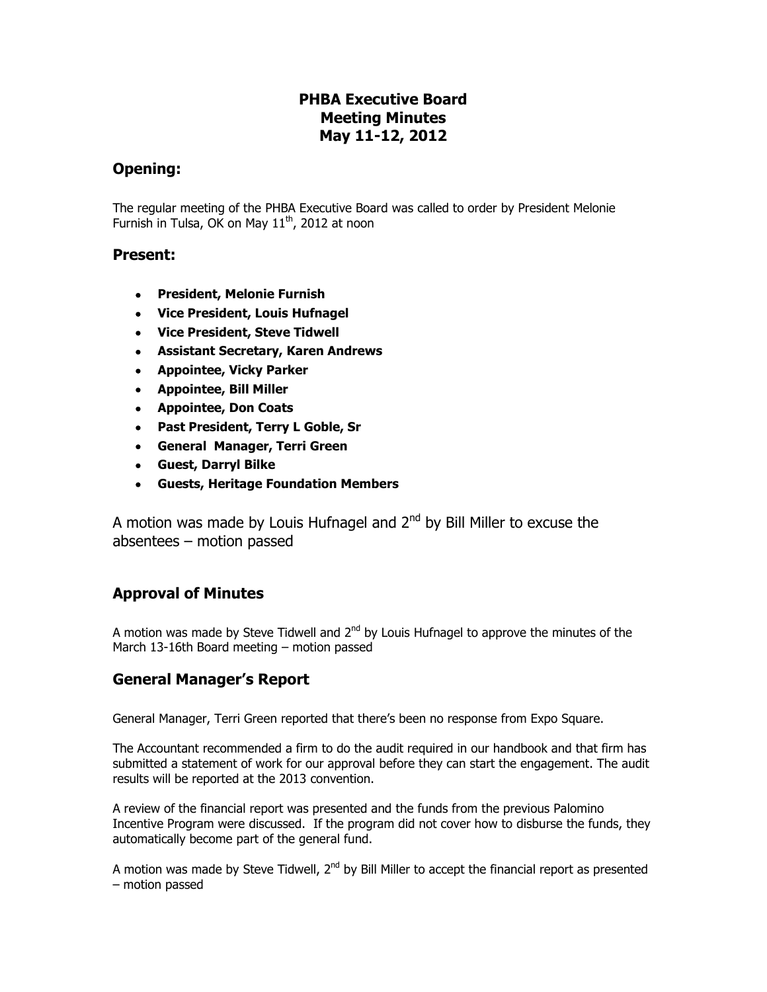# **PHBA Executive Board Meeting Minutes May 11-12, 2012**

## **Opening:**

The regular meeting of the PHBA Executive Board was called to order by President Melonie Furnish in Tulsa, OK on May  $11<sup>th</sup>$ , 2012 at noon

### **Present:**

- **President, Melonie Furnish**
- **Vice President, Louis Hufnagel**
- **Vice President, Steve Tidwell**
- **Assistant Secretary, Karen Andrews**
- **Appointee, Vicky Parker**
- **Appointee, Bill Miller**
- **Appointee, Don Coats**
- **Past President, Terry L Goble, Sr**
- **General Manager, Terri Green**
- **Guest, Darryl Bilke**
- **Guests, Heritage Foundation Members**

A motion was made by Louis Hufnagel and 2<sup>nd</sup> by Bill Miller to excuse the absentees – motion passed

## **Approval of Minutes**

A motion was made by Steve Tidwell and  $2^{nd}$  by Louis Hufnagel to approve the minutes of the March 13-16th Board meeting – motion passed

## **General Manager's Report**

General Manager, Terri Green reported that there's been no response from Expo Square.

The Accountant recommended a firm to do the audit required in our handbook and that firm has submitted a statement of work for our approval before they can start the engagement. The audit results will be reported at the 2013 convention.

A review of the financial report was presented and the funds from the previous Palomino Incentive Program were discussed. If the program did not cover how to disburse the funds, they automatically become part of the general fund.

A motion was made by Steve Tidwell,  $2<sup>nd</sup>$  by Bill Miller to accept the financial report as presented – motion passed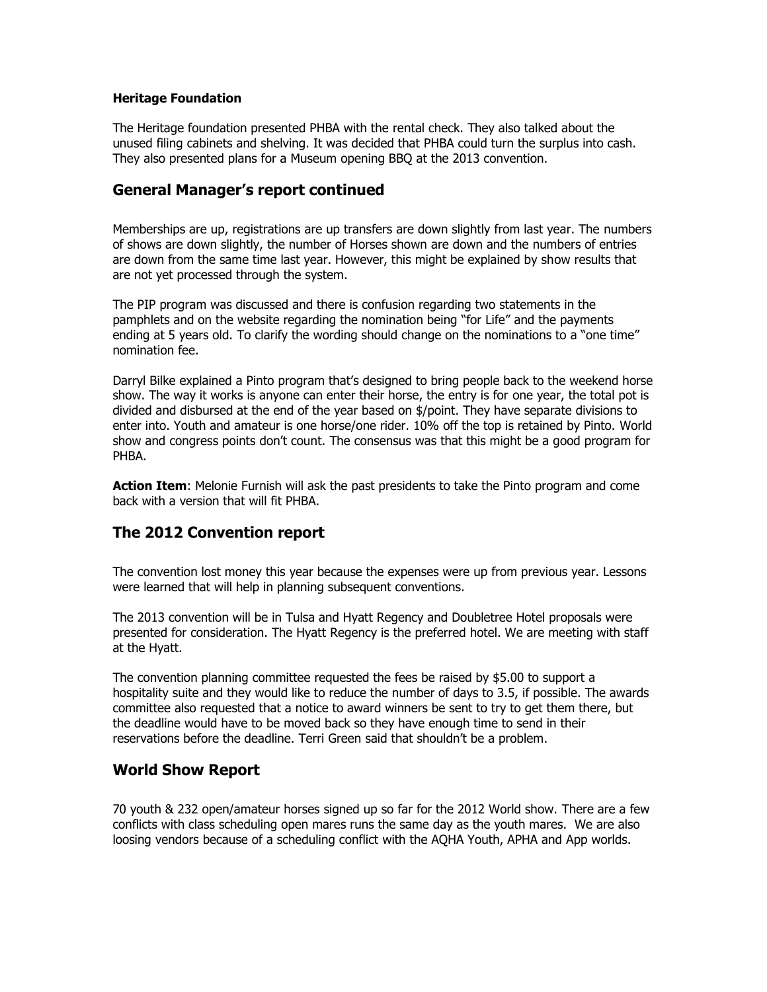#### **Heritage Foundation**

The Heritage foundation presented PHBA with the rental check. They also talked about the unused filing cabinets and shelving. It was decided that PHBA could turn the surplus into cash. They also presented plans for a Museum opening BBQ at the 2013 convention.

### **General Manager's report continued**

Memberships are up, registrations are up transfers are down slightly from last year. The numbers of shows are down slightly, the number of Horses shown are down and the numbers of entries are down from the same time last year. However, this might be explained by show results that are not yet processed through the system.

The PIP program was discussed and there is confusion regarding two statements in the pamphlets and on the website regarding the nomination being "for Life" and the payments ending at 5 years old. To clarify the wording should change on the nominations to a "one time" nomination fee.

Darryl Bilke explained a Pinto program that's designed to bring people back to the weekend horse show. The way it works is anyone can enter their horse, the entry is for one year, the total pot is divided and disbursed at the end of the year based on \$/point. They have separate divisions to enter into. Youth and amateur is one horse/one rider. 10% off the top is retained by Pinto. World show and congress points don't count. The consensus was that this might be a good program for PHBA.

**Action Item**: Melonie Furnish will ask the past presidents to take the Pinto program and come back with a version that will fit PHBA.

## **The 2012 Convention report**

The convention lost money this year because the expenses were up from previous year. Lessons were learned that will help in planning subsequent conventions.

The 2013 convention will be in Tulsa and Hyatt Regency and Doubletree Hotel proposals were presented for consideration. The Hyatt Regency is the preferred hotel. We are meeting with staff at the Hyatt.

The convention planning committee requested the fees be raised by \$5.00 to support a hospitality suite and they would like to reduce the number of days to 3.5, if possible. The awards committee also requested that a notice to award winners be sent to try to get them there, but the deadline would have to be moved back so they have enough time to send in their reservations before the deadline. Terri Green said that shouldn't be a problem.

## **World Show Report**

70 youth & 232 open/amateur horses signed up so far for the 2012 World show. There are a few conflicts with class scheduling open mares runs the same day as the youth mares. We are also loosing vendors because of a scheduling conflict with the AQHA Youth, APHA and App worlds.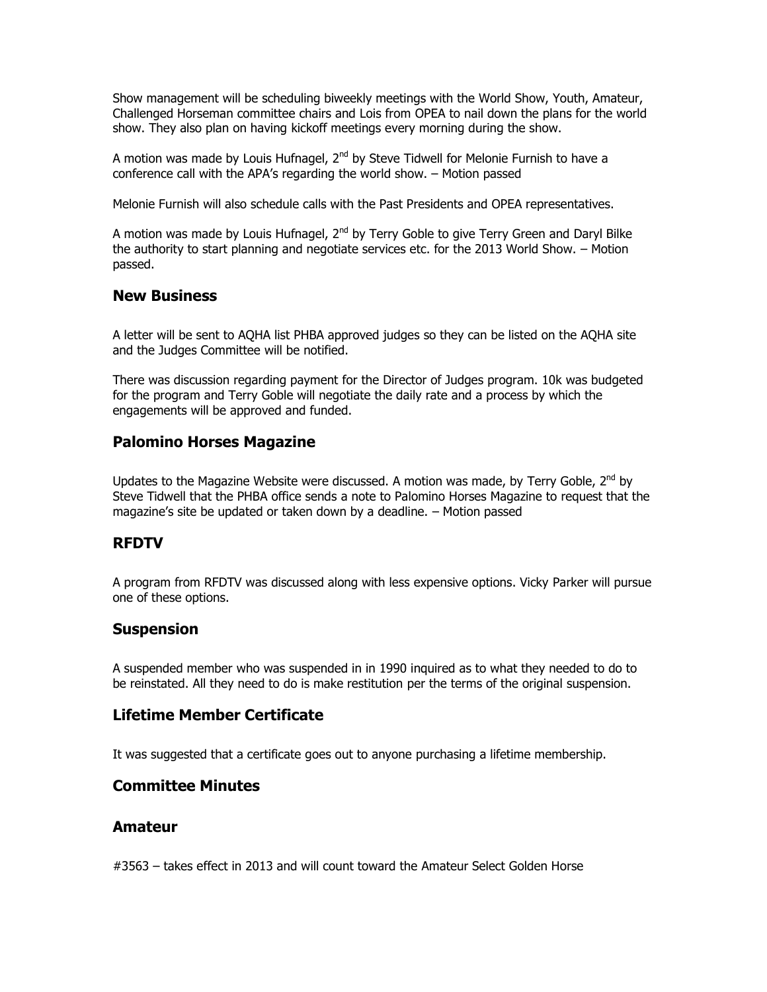Show management will be scheduling biweekly meetings with the World Show, Youth, Amateur, Challenged Horseman committee chairs and Lois from OPEA to nail down the plans for the world show. They also plan on having kickoff meetings every morning during the show.

A motion was made by Louis Hufnagel,  $2^{nd}$  by Steve Tidwell for Melonie Furnish to have a conference call with the APA's regarding the world show. – Motion passed

Melonie Furnish will also schedule calls with the Past Presidents and OPEA representatives.

A motion was made by Louis Hufnagel,  $2^{nd}$  by Terry Goble to give Terry Green and Daryl Bilke the authority to start planning and negotiate services etc. for the 2013 World Show. – Motion passed.

### **New Business**

A letter will be sent to AQHA list PHBA approved judges so they can be listed on the AQHA site and the Judges Committee will be notified.

There was discussion regarding payment for the Director of Judges program. 10k was budgeted for the program and Terry Goble will negotiate the daily rate and a process by which the engagements will be approved and funded.

# **Palomino Horses Magazine**

Updates to the Magazine Website were discussed. A motion was made, by Terry Goble,  $2^{nd}$  by Steve Tidwell that the PHBA office sends a note to Palomino Horses Magazine to request that the magazine's site be updated or taken down by a deadline. – Motion passed

## **RFDTV**

A program from RFDTV was discussed along with less expensive options. Vicky Parker will pursue one of these options.

### **Suspension**

A suspended member who was suspended in in 1990 inquired as to what they needed to do to be reinstated. All they need to do is make restitution per the terms of the original suspension.

### **Lifetime Member Certificate**

It was suggested that a certificate goes out to anyone purchasing a lifetime membership.

### **Committee Minutes**

### **Amateur**

#3563 – takes effect in 2013 and will count toward the Amateur Select Golden Horse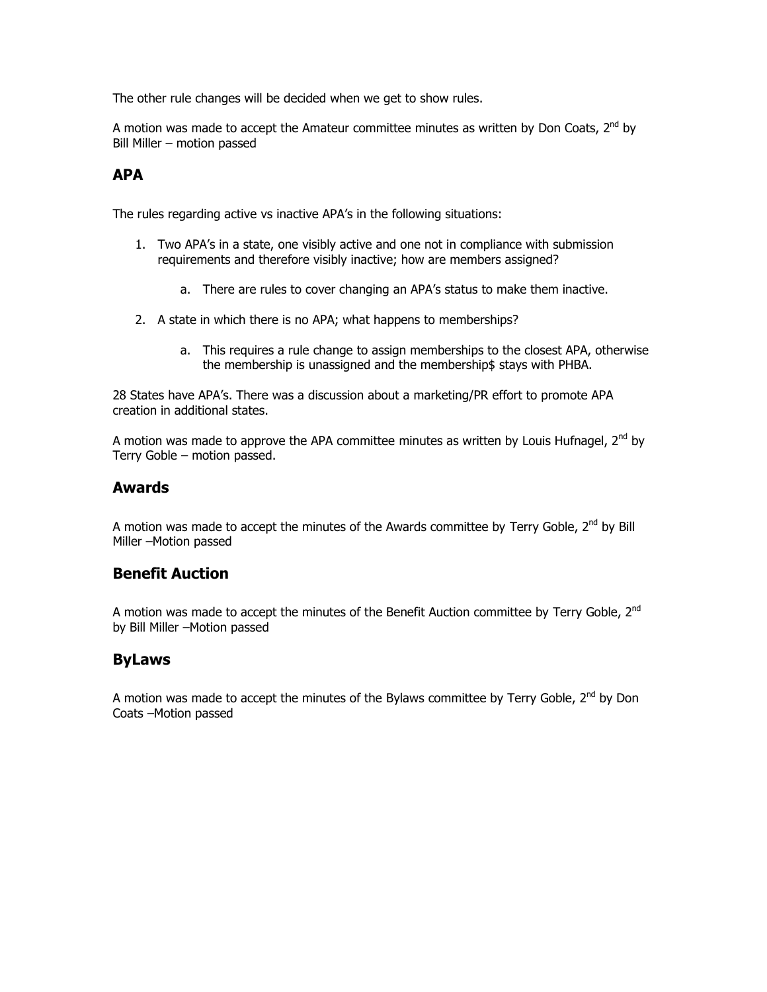The other rule changes will be decided when we get to show rules.

A motion was made to accept the Amateur committee minutes as written by Don Coats,  $2^{nd}$  by Bill Miller – motion passed

### **APA**

The rules regarding active vs inactive APA's in the following situations:

- 1. Two APA's in a state, one visibly active and one not in compliance with submission requirements and therefore visibly inactive; how are members assigned?
	- a. There are rules to cover changing an APA's status to make them inactive.
- 2. A state in which there is no APA; what happens to memberships?
	- a. This requires a rule change to assign memberships to the closest APA, otherwise the membership is unassigned and the membership\$ stays with PHBA.

28 States have APA's. There was a discussion about a marketing/PR effort to promote APA creation in additional states.

A motion was made to approve the APA committee minutes as written by Louis Hufnagel,  $2^{nd}$  by Terry Goble – motion passed.

### **Awards**

A motion was made to accept the minutes of the Awards committee by Terry Goble, 2<sup>nd</sup> by Bill Miller –Motion passed

## **Benefit Auction**

A motion was made to accept the minutes of the Benefit Auction committee by Terry Goble, 2<sup>nd</sup> by Bill Miller –Motion passed

## **ByLaws**

A motion was made to accept the minutes of the Bylaws committee by Terry Goble,  $2^{nd}$  by Don Coats –Motion passed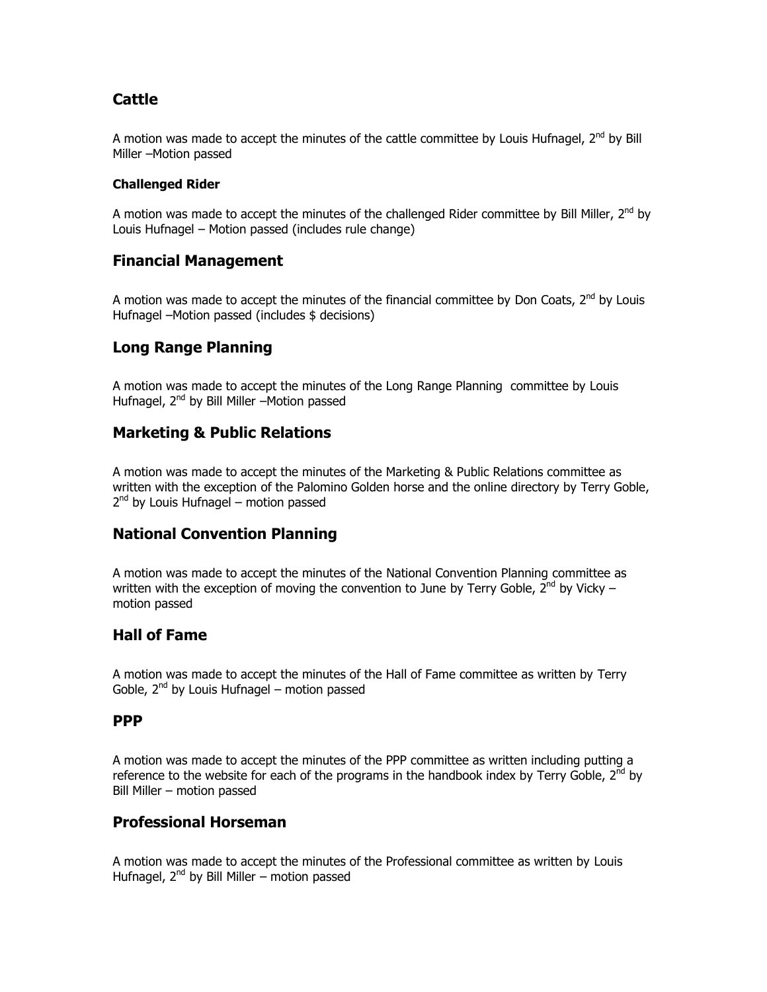# **Cattle**

A motion was made to accept the minutes of the cattle committee by Louis Hufnagel, 2<sup>nd</sup> by Bill Miller –Motion passed

#### **Challenged Rider**

A motion was made to accept the minutes of the challenged Rider committee by Bill Miller,  $2^{nd}$  by Louis Hufnagel – Motion passed (includes rule change)

# **Financial Management**

A motion was made to accept the minutes of the financial committee by Don Coats,  $2^{nd}$  by Louis Hufnagel –Motion passed (includes \$ decisions)

# **Long Range Planning**

A motion was made to accept the minutes of the Long Range Planning committee by Louis Hufnagel, 2<sup>nd</sup> by Bill Miller –Motion passed

# **Marketing & Public Relations**

A motion was made to accept the minutes of the Marketing & Public Relations committee as written with the exception of the Palomino Golden horse and the online directory by Terry Goble, 2<sup>nd</sup> by Louis Hufnagel – motion passed

## **National Convention Planning**

A motion was made to accept the minutes of the National Convention Planning committee as written with the exception of moving the convention to June by Terry Goble,  $2^{nd}$  by Vicky – motion passed

# **Hall of Fame**

A motion was made to accept the minutes of the Hall of Fame committee as written by Terry Goble,  $2^{nd}$  by Louis Hufnagel – motion passed

### **PPP**

A motion was made to accept the minutes of the PPP committee as written including putting a reference to the website for each of the programs in the handbook index by Terry Goble,  $2^{nd}$  by Bill Miller – motion passed

## **Professional Horseman**

A motion was made to accept the minutes of the Professional committee as written by Louis Hufnagel,  $2<sup>nd</sup>$  by Bill Miller – motion passed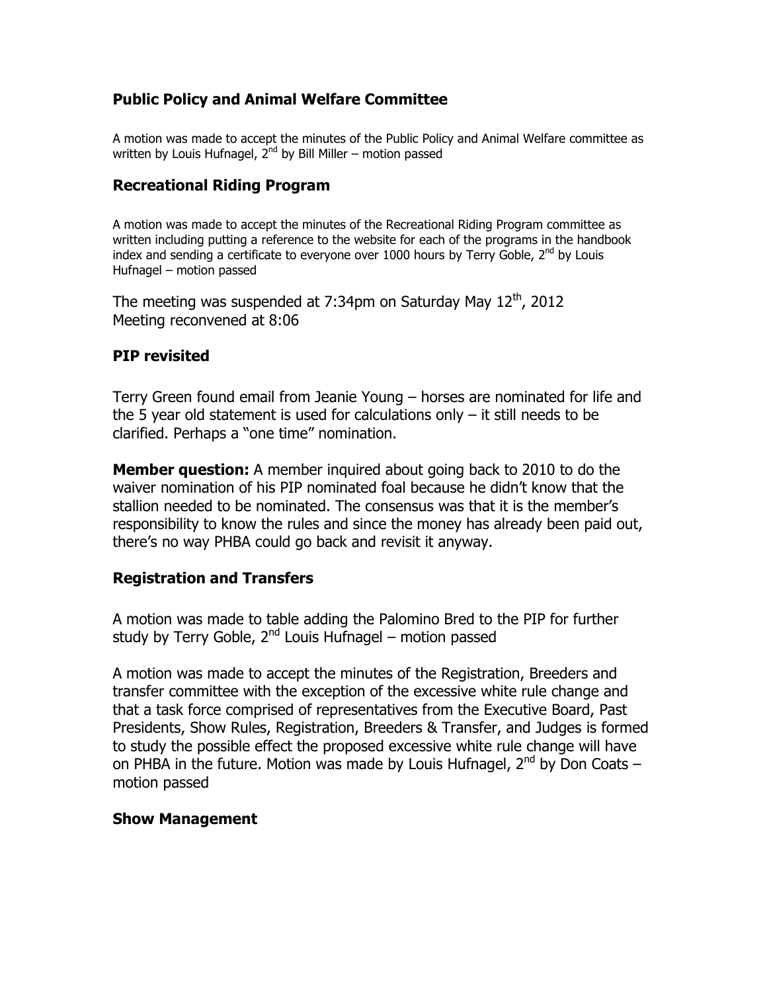# **Public Policy and Animal Welfare Committee**

A motion was made to accept the minutes of the Public Policy and Animal Welfare committee as written by Louis Hufnagel,  $2^{nd}$  by Bill Miller – motion passed

# **Recreational Riding Program**

A motion was made to accept the minutes of the Recreational Riding Program committee as written including putting a reference to the website for each of the programs in the handbook index and sending a certificate to everyone over 1000 hours by Terry Goble, 2<sup>nd</sup> by Louis Hufnagel – motion passed

The meeting was suspended at  $7:34$ pm on Saturday May  $12<sup>th</sup>$ , 2012 Meeting reconvened at 8:06

# **PIP revisited**

Terry Green found email from Jeanie Young – horses are nominated for life and the 5 year old statement is used for calculations only – it still needs to be clarified. Perhaps a "one time" nomination.

**Member question:** A member inquired about going back to 2010 to do the waiver nomination of his PIP nominated foal because he didn't know that the stallion needed to be nominated. The consensus was that it is the member's responsibility to know the rules and since the money has already been paid out, there's no way PHBA could go back and revisit it anyway.

# **Registration and Transfers**

A motion was made to table adding the Palomino Bred to the PIP for further study by Terry Goble,  $2^{nd}$  Louis Hufnagel – motion passed

A motion was made to accept the minutes of the Registration, Breeders and transfer committee with the exception of the excessive white rule change and that a task force comprised of representatives from the Executive Board, Past Presidents, Show Rules, Registration, Breeders & Transfer, and Judges is formed to study the possible effect the proposed excessive white rule change will have on PHBA in the future. Motion was made by Louis Hufnagel,  $2^{nd}$  by Don Coats – motion passed

## **Show Management**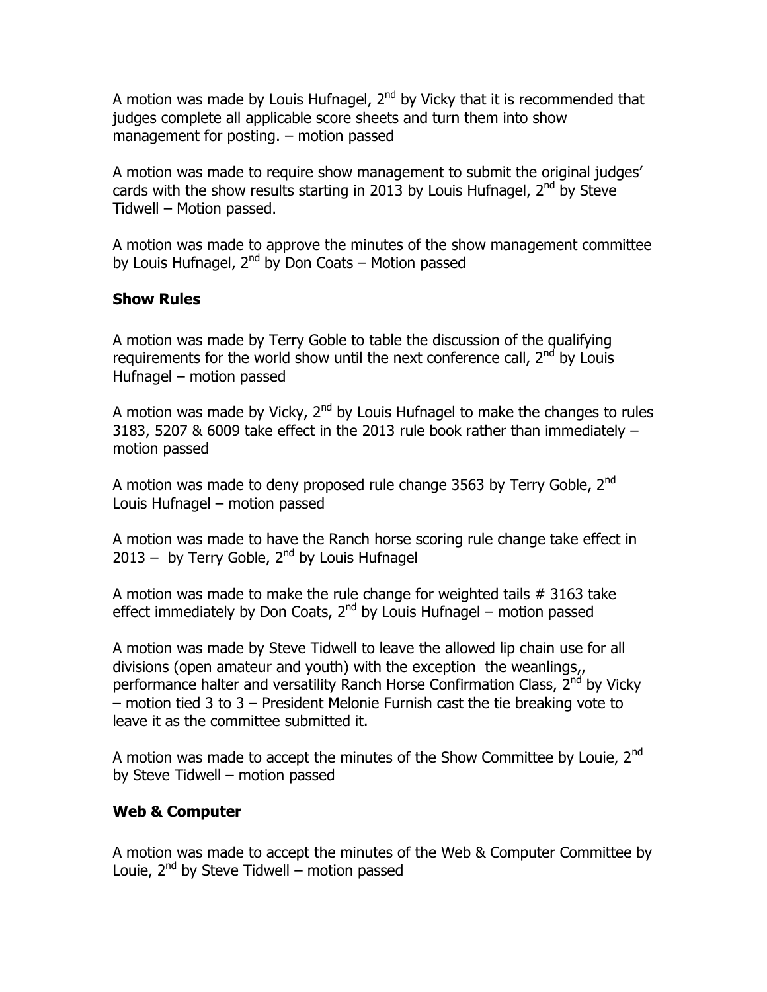A motion was made by Louis Hufnagel,  $2<sup>nd</sup>$  by Vicky that it is recommended that judges complete all applicable score sheets and turn them into show management for posting. – motion passed

A motion was made to require show management to submit the original judges' cards with the show results starting in 2013 by Louis Hufnagel,  $2<sup>nd</sup>$  by Steve Tidwell – Motion passed.

A motion was made to approve the minutes of the show management committee by Louis Hufnagel,  $2<sup>nd</sup>$  by Don Coats – Motion passed

# **Show Rules**

A motion was made by Terry Goble to table the discussion of the qualifying requirements for the world show until the next conference call,  $2^{nd}$  by Louis Hufnagel – motion passed

A motion was made by Vicky,  $2<sup>nd</sup>$  by Louis Hufnagel to make the changes to rules 3183, 5207 & 6009 take effect in the 2013 rule book rather than immediately – motion passed

A motion was made to deny proposed rule change 3563 by Terry Goble, 2<sup>nd</sup> Louis Hufnagel – motion passed

A motion was made to have the Ranch horse scoring rule change take effect in  $2013 -$  by Terry Goble,  $2^{nd}$  by Louis Hufnagel

A motion was made to make the rule change for weighted tails # 3163 take effect immediately by Don Coats,  $2^{nd}$  by Louis Hufnagel – motion passed

A motion was made by Steve Tidwell to leave the allowed lip chain use for all divisions (open amateur and youth) with the exception the weanlings,, performance halter and versatility Ranch Horse Confirmation Class, 2<sup>nd</sup> by Vicky – motion tied 3 to 3 – President Melonie Furnish cast the tie breaking vote to leave it as the committee submitted it.

A motion was made to accept the minutes of the Show Committee by Louie,  $2^{nd}$ by Steve Tidwell – motion passed

# **Web & Computer**

A motion was made to accept the minutes of the Web & Computer Committee by Louie,  $2^{nd}$  by Steve Tidwell – motion passed